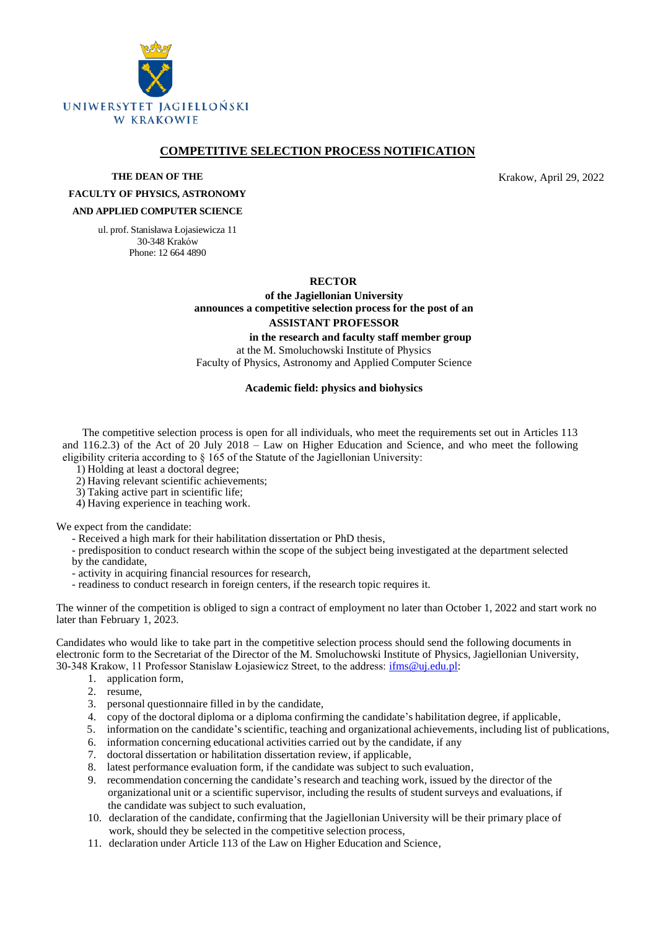

# **COMPETITIVE SELECTION PROCESS NOTIFICATION**

**THE DEAN OF THE**

Krakow, April 29, 2022

### **FACULTY OF PHYSICS, ASTRONOMY AND APPLIED COMPUTER SCIENCE**

ul. prof. Stanisława Łojasiewicza 11 30-348 Kraków Phone: 12 664 4890

#### **RECTOR**

**of the Jagiellonian University announces a competitive selection process for the post of an ASSISTANT PROFESSOR**

**in the research and faculty staff member group**

at the M. Smoluchowski Institute of Physics Faculty of Physics, Astronomy and Applied Computer Science

#### **Academic field: physics and biohysics**

The competitive selection process is open for all individuals, who meet the requirements set out in Articles 113 and 116.2.3) of the Act of 20 July 2018 – Law on Higher Education and Science, and who meet the following eligibility criteria according to § 165 of the Statute of the Jagiellonian University:

1) Holding at least a doctoral degree;

2) Having relevant scientific achievements;

3) Taking active part in scientific life;

4) Having experience in teaching work.

We expect from the candidate:

- Received a high mark for their habilitation dissertation or PhD thesis,

- predisposition to conduct research within the scope of the subject being investigated at the department selected by the candidate,

- activity in acquiring financial resources for research,

- readiness to conduct research in foreign centers, if the research topic requires it.

The winner of the competition is obliged to sign a contract of employment no later than October 1, 2022 and start work no later than February 1, 2023.

Candidates who would like to take part in the competitive selection process should send the following documents in electronic form to the Secretariat of the Director of the M. Smoluchowski Institute of Physics, Jagiellonian University, 30-348 Krakow, 11 Professor Stanislaw Łojasiewicz Street, to the address: [ifms@uj.edu.pl:](file:///C:/Users/posta_000/AppData/Local/Temp/pid-12652/ifms@uj.edu.pl)

- 1. application form,
- 2. resume,
- 3. personal questionnaire filled in by the candidate,
- 4. copy of the doctoral diploma or a diploma confirming the candidate's habilitation degree, if applicable,
- 5. information on the candidate's scientific, teaching and organizational achievements, including list of publications,
- 6. information concerning educational activities carried out by the candidate, if any
- 7. doctoral dissertation or habilitation dissertation review, if applicable,
- 8. latest performance evaluation form, if the candidate was subject to such evaluation,
- 9. recommendation concerning the candidate's research and teaching work, issued by the director of the organizational unit or a scientific supervisor, including the results of student surveys and evaluations, if the candidate was subject to such evaluation,
- 10. declaration of the candidate, confirming that the Jagiellonian University will be their primary place of work, should they be selected in the competitive selection process,
- 11. declaration under Article 113 of the Law on Higher Education and Science,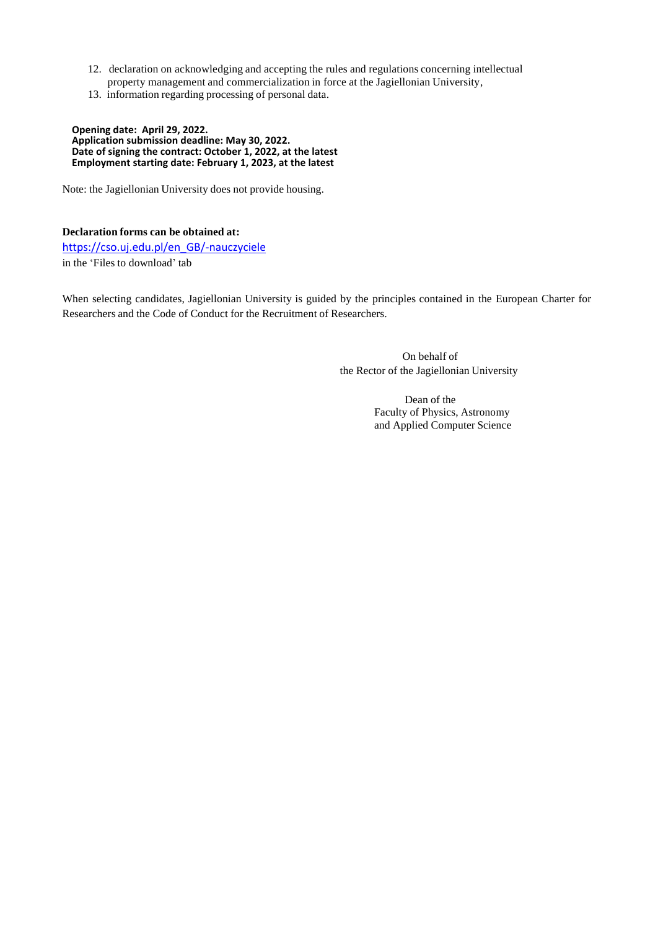- 12. declaration on acknowledging and accepting the rules and regulations concerning intellectual property management and commercialization in force at the Jagiellonian University,
- 13. information regarding processing of personal data.

**Opening date: April 29, 2022. Application submission deadline: May 30, 2022. Date of signing the contract: October 1, 2022, at the latest Employment starting date: February 1, 2023, at the latest**

Note: the Jagiellonian University does not provide housing.

**Declaration forms can be obtained at:** [https://cso.uj.edu.pl/en\\_GB/-nauczyciele](https://cso.uj.edu.pl/en_GB/-nauczyciele) in the 'Files to download' tab

When selecting candidates, Jagiellonian University is guided by the principles contained in the European Charter for Researchers and the Code of Conduct for the Recruitment of Researchers.

> On behalf of the Rector of the Jagiellonian University

> > Dean of the Faculty of Physics, Astronomy and Applied Computer Science